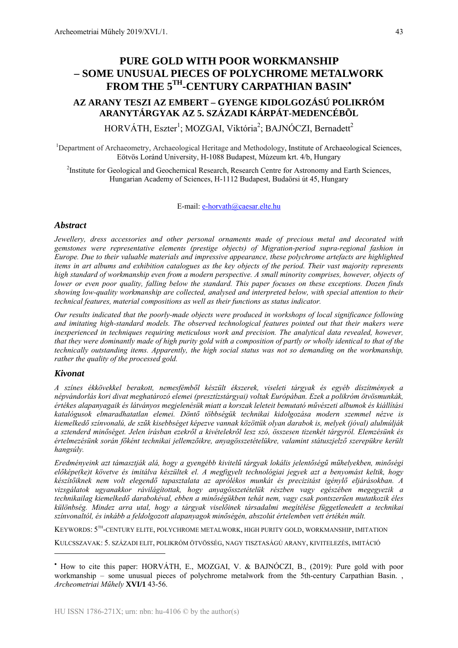# **PURE GOLD WITH POOR WORKMANSHIP – SOME UNUSUAL PIECES OF POLYCHROME METALWORK FROM THE 5TH-CENTURY CARPATHIAN BASIN**•

# **AZ ARANY TESZI AZ EMBERT – GYENGE KIDOLGOZÁSÚ POLIKRÓM ARANYTÁRGYAK AZ 5. SZÁZADI KÁRPÁT-MEDENCÉBÕL**

HORVÁTH, Eszter<sup>1</sup>; MOZGAI, Viktória<sup>2</sup>; BAJNÓCZI, Bernadett<sup>2</sup>

<sup>1</sup>Department of Archaeometry, Archaeological Heritage and Methodology, Institute of Archaeological Sciences, Eötvös Loránd University, H-1088 Budapest, Múzeum krt. 4/b, Hungary

<sup>2</sup>Institute for Geological and Geochemical Research, Research Centre for Astronomy and Earth Sciences, Hungarian Academy of Sciences, H-1112 Budapest, Budaörsi út 45, Hungary

#### E-mail: e-horvath@caesar.elte.hu

### *Abstract*

*Jewellery, dress accessories and other personal ornaments made of precious metal and decorated with gemstones were representative elements (prestige objects) of Migration-period supra-regional fashion in Europe. Due to their valuable materials and impressive appearance, these polychrome artefacts are highlighted items in art albums and exhibition catalogues as the key objects of the period. Their vast majority represents high standard of workmanship even from a modern perspective. A small minority comprises, however, objects of lower or even poor quality, falling below the standard. This paper focuses on these exceptions. Dozen finds showing low-quality workmanship are collected, analysed and interpreted below, with special attention to their technical features, material compositions as well as their functions as status indicator.* 

*Our results indicated that the poorly-made objects were produced in workshops of local significance following and imitating high-standard models. The observed technological features pointed out that their makers were inexperienced in techniques requiring meticulous work and precision. The analytical data revealed, however, that they were dominantly made of high purity gold with a composition of partly or wholly identical to that of the technically outstanding items. Apparently, the high social status was not so demanding on the workmanship, rather the quality of the processed gold.* 

#### *Kivonat*

1

*A színes ékkövekkel berakott, nemesfémből készült ékszerek, viseleti tárgyak és egyéb díszítmények a népvándorlás kori divat meghatározó elemei (presztízstárgyai) voltak Európában. Ezek a polikróm ötvösmunkák, értékes alapanyagaik és látványos megjelenésük miatt a korszak leleteit bemutató művészeti albumok és kiállítási katalógusok elmaradhatatlan elemei. Döntő többségük technikai kidolgozása modern szemmel nézve is kiemelkedő színvonalú, de szűk kisebbséget képezve vannak közöttük olyan darabok is, melyek (jóval) alulmúlják a sztenderd minőséget. Jelen írásban ezekről a kivételekről lesz szó, összesen tizenkét tárgyról. Elemzésünk és értelmezésünk során főként technikai jellemzőikre, anyagösszetételükre, valamint státuszjelző szerepükre került hangsúly.* 

*Eredményeink azt támasztják alá, hogy a gyengébb kivitelű tárgyak lokális jelentőségű műhelyekben, minőségi előképe(ke)t követve és imitálva készültek el. A megfigyelt technológiai jegyek azt a benyomást keltik, hogy készítőiknek nem volt elegendő tapasztalata az aprólékos munkát és precizitást igénylő eljárásokban. A vizsgálatok ugyanakkor rávilágítottak, hogy anyagösszetételük részben vagy egészében megegyezik a technikailag kiemelkedő darabokéval, ebben a minőségükben tehát nem, vagy csak pontszerűen mutatkozik éles különbség. Mindez arra utal, hogy a tárgyak viselőinek társadalmi megítélése függetlenedett a technikai színvonaltól, és inkább a feldolgozott alapanyagok minőségén, abszolút értelemben vett értékén múlt.* 

KEYWORDS: 5TH-CENTURY ELITE, POLYCHROME METALWORK, HIGH PURITY GOLD, WORKMANSHIP, IMITATION

KULCSSZAVAK: 5. SZÁZADI ELIT, POLIKRÓM ÖTVÖSSÉG, NAGY TISZTASÁGÚ ARANY, KIVITELEZÉS, IMITÁCIÓ

<sup>•</sup> How to cite this paper: HORVÁTH, E., MOZGAI, V. & BAJNÓCZI, B., (2019): Pure gold with poor workmanship – some unusual pieces of polychrome metalwork from the 5th-century Carpathian Basin. , *Archeometriai Műhely* **XVI/1** 43-56.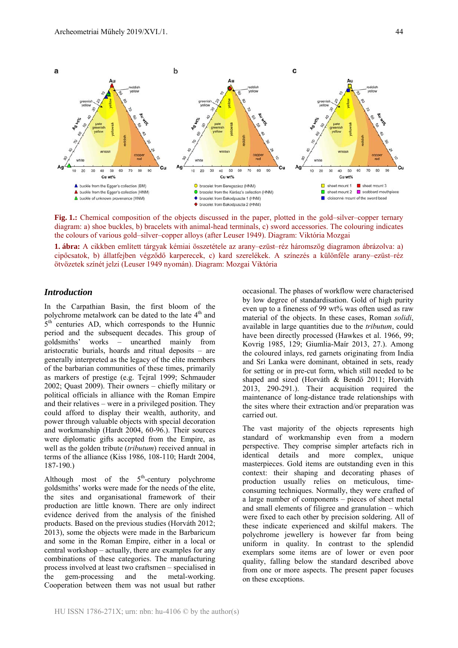

**Fig. 1.:** Chemical composition of the objects discussed in the paper, plotted in the gold–silver–copper ternary diagram: a) shoe buckles, b) bracelets with animal-head terminals, c) sword accessories. The colouring indicates the colours of various gold–silver–copper alloys (after Leuser 1949). Diagram: Viktória Mozgai

**1. ábra:** A cikkben említett tárgyak kémiai összetétele az arany–ezüst–réz háromszög diagramon ábrázolva: a) cipőcsatok, b) állatfejben végződő karperecek, c) kard szerelékek. A színezés a különféle arany–ezüst–réz ötvözetek színét jelzi (Leuser 1949 nyomán). Diagram: Mozgai Viktória

# *Introduction*

In the Carpathian Basin, the first bloom of the polychrome metalwork can be dated to the late 4<sup>th</sup> and  $5<sup>th</sup>$  centuries AD, which corresponds to the Hunnic period and the subsequent decades. This group of goldsmiths' works – unearthed mainly from aristocratic burials, hoards and ritual deposits – are generally interpreted as the legacy of the elite members of the barbarian communities of these times, primarily as markers of prestige (e.g. Tejral 1999; Schmauder 2002; Quast 2009). Their owners – chiefly military or political officials in alliance with the Roman Empire and their relatives – were in a privileged position. They could afford to display their wealth, authority, and power through valuable objects with special decoration and workmanship (Hardt 2004, 60-96.). Their sources were diplomatic gifts accepted from the Empire, as well as the golden tribute (*tributum*) received annual in terms of the alliance (Kiss 1986, 108-110; Hardt 2004, 187-190.)

Although most of the  $5<sup>th</sup>$ -century polychrome goldsmiths' works were made for the needs of the elite, the sites and organisational framework of their production are little known. There are only indirect evidence derived from the analysis of the finished products. Based on the previous studies (Horváth 2012; 2013), some the objects were made in the Barbaricum and some in the Roman Empire, either in a local or central workshop – actually, there are examples for any combinations of these categories. The manufacturing process involved at least two craftsmen – specialised in the gem-processing and the metal-working. Cooperation between them was not usual but rather

occasional. The phases of workflow were characterised by low degree of standardisation. Gold of high purity even up to a fineness of 99 wt% was often used as raw material of the objects. In these cases, Roman *solidi*, available in large quantities due to the *tributum*, could have been directly processed (Hawkes et al. 1966, 99; Kovrig 1985, 129; Giumlia-Maír 2013, 27.). Among the coloured inlays, red garnets originating from India and Sri Lanka were dominant, obtained in sets, ready for setting or in pre-cut form, which still needed to be shaped and sized (Horváth & Bendő 2011; Horváth 2013, 290-291.). Their acquisition required the maintenance of long-distance trade relationships with the sites where their extraction and/or preparation was carried out.

The vast majority of the objects represents high standard of workmanship even from a modern perspective. They comprise simpler artefacts rich in identical details and more complex, unique masterpieces. Gold items are outstanding even in this context: their shaping and decorating phases of production usually relies on meticulous, timeconsuming techniques. Normally, they were crafted of a large number of components – pieces of sheet metal and small elements of filigree and granulation – which were fixed to each other by precision soldering. All of these indicate experienced and skilful makers. The polychrome jewellery is however far from being uniform in quality. In contrast to the splendid exemplars some items are of lower or even poor quality, falling below the standard described above from one or more aspects. The present paper focuses on these exceptions.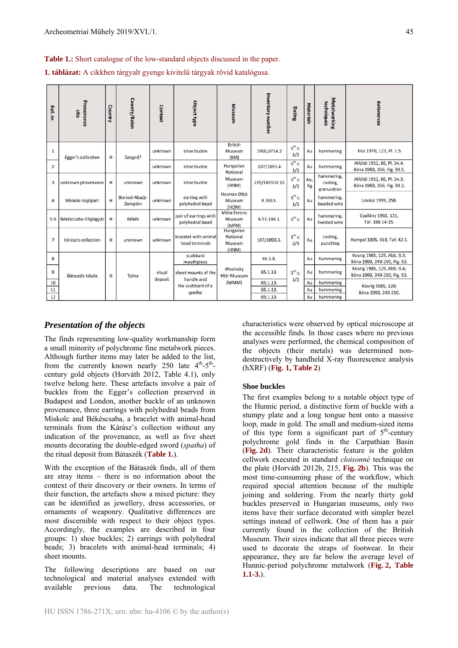**Table 1.:** Short catalogue of the low-standard objects discussed in the paper.

**1. táblázat:** A cikkben tárgyalt gyenge kivitelű tárgyak rövid katalógusa.

| Ref. nr.       | Provenance<br>site   | Country | County/Raior             | Context           | Object type                                                      | <b>Museum</b>                            | Inventory number | Dating                   | <b>Materials</b> | Metalworking<br>techniques            | References                                                  |  |
|----------------|----------------------|---------|--------------------------|-------------------|------------------------------------------------------------------|------------------------------------------|------------------|--------------------------|------------------|---------------------------------------|-------------------------------------------------------------|--|
| $\mathbf{1}$   | Egger's collection   | н       | Szeged?                  | unknown           | shoe buckle                                                      | <b>British</b><br>Museum<br>(BM)         | 1900,0714.2      | $5^{th}$ c.<br>1/2       | Au               | hammering                             | Kiss 1970, 123, Pl. 1.5                                     |  |
| $\overline{2}$ |                      |         |                          | unknown           | shoe buckle                                                      | Hungarian<br>National                    | 107/1893.4       | $5^{th}$ c.<br>Au<br>1/2 |                  | hammering                             | Alföldi 1932, 86, Pl. 34.4;<br>Bóna 1993, 256, Fig. 93.5.   |  |
| 3              | unknown provenance   | н       | unknown                  | unknown           | shoe buckle                                                      | Museum<br>(HNM)                          | 235/1870.III.12  | $5^{th}$ c.<br>1/2       | Au,<br>Ag        | hammering,<br>casting,<br>granulation | Alföldi 1932, 86, Pl. 34.3;<br>Bóna 1993, 256, Fig. 93.2.   |  |
| $\overline{4}$ | Miskolc-Sajópart     | н       | Borsod-Abaúj-<br>Zemplén | unknown           | earring with<br>polyhedral bead                                  | Herman Ottó<br>Museum<br>(HOM)           | R.3913.          | $5^{th}$ c.<br>1/2       | Au               | hammering,<br>beaded wire             | Lovász 1999, 258.                                           |  |
| $5 - 6$        | Békéscsaba-Téglagyár | н       | Békés                    | unknown           | pair of earrings with<br>polyhedral bead                         | Móra Ferenc<br>Museum<br>(MFM)           | A.53.146.1.      | $5^{th}$ c.              | Au               | hammering,<br>twisted wire            | Csallány 1961, 121,<br>Taf. 188.14-15.                      |  |
| $\overline{7}$ | Kárász's collection  | н       | unknown                  | unknown           | bracelet with animal-<br>head terminals                          | Hungarian<br>National<br>Museum<br>(HNM) | 107/1893.3.      | $5^{th}$ c.<br>2/3       | Au               | casting,<br>punching                  | Hampel 1905, 418, Taf. 42.1.                                |  |
| 8              | Bátaszék-Iskola      | н       | Tolna                    | ritual<br>deposit | scabbard<br>mouthpiece                                           | Wosinsky<br>Mór Museum<br>(WMM)          | 65.1.8.          | Au                       |                  | hammering                             | Kovrig 1985, 129, Abb. 9.3;<br>Bóna 1993, 249-250, Fig. 53. |  |
| 9              |                      |         |                          |                   | sheet mounts of the<br>handle and<br>the scabbard of a<br>spatha |                                          | 65.1.13.         | $5^{th}$ c.              | Au               | hammering                             | Kovrig 1985, 129, Abb. 9.4;<br>Bóna 1993, 249-250, Fig. 53. |  |
| 10             |                      |         |                          |                   |                                                                  |                                          | 65.1.13.         | 1/2                      | Au               | hammering                             | Kovrig 1985, 129;                                           |  |
| 11             |                      |         |                          |                   |                                                                  |                                          | 65.1.13.         |                          | Au               | hammering                             | Bóna 1993, 249-250.                                         |  |
| 12             |                      |         |                          |                   |                                                                  |                                          | 65.1.13.         |                          | Au               | hammering                             |                                                             |  |

# *Presentation of the objects*

The finds representing low-quality workmanship form a small minority of polychrome fine metalwork pieces. Although further items may later be added to the list, from the currently known nearly 250 late  $4<sup>th</sup>-5<sup>th</sup>$ century gold objects (Horváth 2012, Table 4.1), only twelve belong here. These artefacts involve a pair of buckles from the Egger's collection preserved in Budapest and London, another buckle of an unknown provenance, three earrings with polyhedral beads from Miskolc and Békéscsaba, a bracelet with animal-head terminals from the Kárász's collection without any indication of the provenance, as well as five sheet mounts decorating the double-edged sword (*spatha*) of the ritual deposit from Bátaszék (**Table 1.**).

With the exception of the Bátaszék finds, all of them are stray items – there is no information about the context of their discovery or their owners. In terms of their function, the artefacts show a mixed picture: they can be identified as jewellery, dress accessories, or ornaments of weaponry. Qualitative differences are most discernible with respect to their object types. Accordingly, the examples are described in four groups: 1) shoe buckles; 2) earrings with polyhedral beads; 3) bracelets with animal-head terminals; 4) sheet mounts.

The following descriptions are based on our technological and material analyses extended with available previous data. The technological characteristics were observed by optical microscope at the accessible finds. In those cases where no previous analyses were performed, the chemical composition of the objects (their metals) was determined nondestructively by handheld X-ray fluorescence analysis (hXRF) (**Fig. 1, Table 2**)

### **Shoe buckles**

The first examples belong to a notable object type of the Hunnic period, a distinctive form of buckle with a stumpy plate and a long tongue bent onto a massive loop, made in gold. The small and medium-sized items of this type form a significant part of  $5<sup>th</sup>$ -century polychrome gold finds in the Carpathian Basin (**Fig. 2d**). Their characteristic feature is the golden cellwork executed in standard *cloisonné* technique on the plate (Horváth 2012b, 215, **Fig. 2b**). This was the most time-consuming phase of the workflow, which required special attention because of the multiple joining and soldering. From the nearly thirty gold buckles preserved in Hungarian museums, only two items have their surface decorated with simpler bezel settings instead of cellwork. One of them has a pair currently found in the collection of the British Museum. Their sizes indicate that all three pieces were used to decorate the straps of footwear. In their appearance, they are far below the average level of Hunnic-period polychrome metalwork (**Fig. 2, Table 1.1-3.**).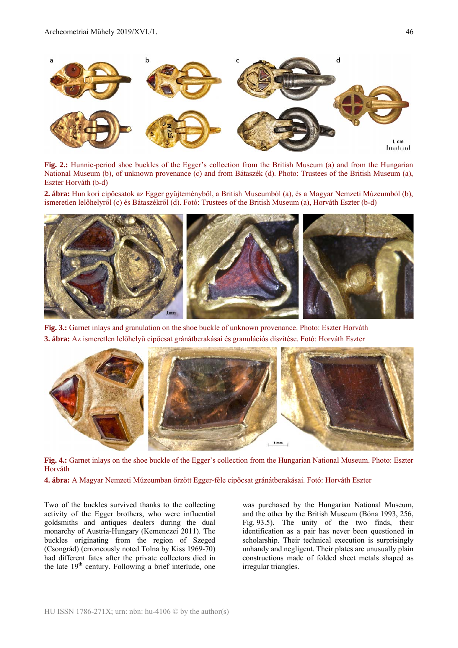

**Fig. 2.:** Hunnic-period shoe buckles of the Egger's collection from the British Museum (a) and from the Hungarian National Museum (b), of unknown provenance (c) and from Bátaszék (d). Photo: Trustees of the British Museum (a), Eszter Horváth (b-d)

**2. ábra:** Hun kori cipőcsatok az Egger gyűjteményből, a British Museumból (a), és a Magyar Nemzeti Múzeumból (b), ismeretlen lelőhelyről (c) és Bátaszékről (d). Fotó: Trustees of the British Museum (a), Horváth Eszter (b-d)



**Fig. 3.:** Garnet inlays and granulation on the shoe buckle of unknown provenance. Photo: Eszter Horváth **3. ábra:** Az ismeretlen lelőhelyű cipőcsat gránátberakásai és granulációs díszítése. Fotó: Horváth Eszter



**Fig. 4.:** Garnet inlays on the shoe buckle of the Egger's collection from the Hungarian National Museum. Photo: Eszter Horváth

**4. ábra:** A Magyar Nemzeti Múzeumban őrzött Egger-féle cipőcsat gránátberakásai. Fotó: Horváth Eszter

Two of the buckles survived thanks to the collecting activity of the Egger brothers, who were influential goldsmiths and antiques dealers during the dual monarchy of Austria-Hungary (Kemenczei 2011). The buckles originating from the region of Szeged (Csongrád) (erroneously noted Tolna by Kiss 1969-70) had different fates after the private collectors died in the late  $19<sup>th</sup>$  century. Following a brief interlude, one was purchased by the Hungarian National Museum, and the other by the British Museum (Bóna 1993, 256, Fig. 93.5). The unity of the two finds, their identification as a pair has never been questioned in scholarship. Their technical execution is surprisingly unhandy and negligent. Their plates are unusually plain constructions made of folded sheet metals shaped as irregular triangles.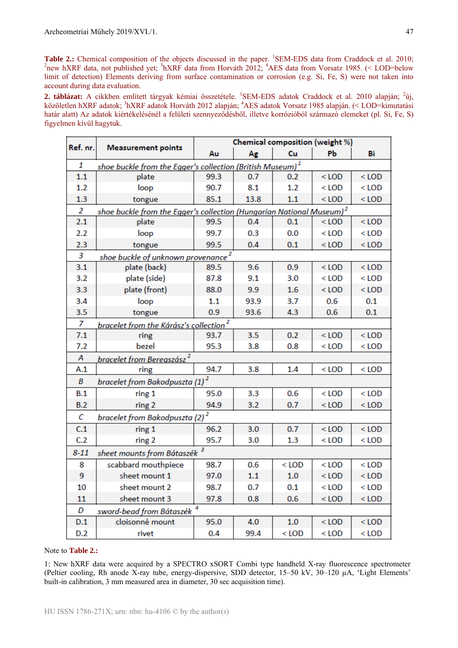**Table 2.:** Chemical composition of the objects discussed in the paper. <sup>1</sup>SEM-EDS data from Craddock et al. 2010;<br><sup>2</sup>nove by RE data, not published yet: <sup>3</sup>by RE data from Horváth 2012; <sup>4</sup>AES data from Vorsatz 1085 (< L new hXRF data, not published yet; <sup>3</sup>hXRF data from Horváth 2012; <sup>4</sup>AES data from Vorsatz 1985. (< LOD=below limit of detection) Elements deriving from surface contamination or corrosion (e.g. Si, Fe, S) were not taken into account during data evaluation.

2. táblázat: A cikkben említett tárgyak kémiai összetétele. <sup>1</sup>SEM-EDS adatok Craddock et al. 2010 alapján; <sup>2</sup>új, közöletlen hXRF adatok; <sup>3</sup>hXRF adatok Horváth 2012 alapján; <sup>4</sup>AES adatok Vorsatz 1985 alapján. (< LOD=kimutatási határ alatt) Az adatok kiértékelésénél a felületi szennyeződésből, illetve korrózióból származó elemeket (pl. Si, Fe, S) figyelmen kívül hagytuk.

| Ref. nr.       | <b>Measurement points</b>                                    | Chemical composition (weight %)                                                  |      |         |         |         |  |  |  |  |
|----------------|--------------------------------------------------------------|----------------------------------------------------------------------------------|------|---------|---------|---------|--|--|--|--|
|                |                                                              | Au                                                                               | Ag   | Cu      | PЬ      | Bi      |  |  |  |  |
| 1              |                                                              | shoe buckle from the Egger's collection (British Museum) $^{\mathrm{1}}$         |      |         |         |         |  |  |  |  |
| 1.1            | plate                                                        | 99.3                                                                             | 0.7  | 0.2     | $<$ LOD | $<$ LOD |  |  |  |  |
| 1.2            | loop                                                         | 90.7                                                                             | 8.1  | 1.2     | $<$ LOD | $<$ LOD |  |  |  |  |
| 1.3            | tongue                                                       | 85.1                                                                             | 13.8 | 1.1     | $<$ LOD | $<$ LOD |  |  |  |  |
| $\overline{2}$ |                                                              | shoe buckle from the Egger's collection (Hungarian National Museum) <sup>2</sup> |      |         |         |         |  |  |  |  |
| 2.1            | plate                                                        | 99.5                                                                             | 0.4  | 0.1     | $<$ LOD | $<$ LOD |  |  |  |  |
| 2.2            | loop                                                         | 99.7                                                                             | 0.3  | 0.0     | $<$ LOD | $<$ LOD |  |  |  |  |
| 2.3            | tongue                                                       | 99.5                                                                             | 0.4  | 0.1     | $<$ LOD | $<$ LOD |  |  |  |  |
| 3              | shoe buckle of unknown provenance <sup>2</sup>               |                                                                                  |      |         |         |         |  |  |  |  |
| 3.1            | plate (back)                                                 | 89.5                                                                             | 9.6  | 0.9     | $<$ LOD | $<$ LOD |  |  |  |  |
| 3.2            | plate (side)                                                 | 87.8                                                                             | 9.1  | 3.0     | $<$ LOD | $<$ LOD |  |  |  |  |
| 3.3            | plate (front)                                                | 88.0                                                                             | 9.9  | 1.6     | $<$ LOD | $<$ LOD |  |  |  |  |
| 3.4            | loop                                                         | 1.1                                                                              | 93.9 | 3.7     | 0.6     | 0.1     |  |  |  |  |
| 3.5            | tongue                                                       | 0.9                                                                              | 93.6 | 4.3     | 0.6     | 0.1     |  |  |  |  |
| 7              | <u>bracelet from the Kárász's collection <math>^2</math></u> |                                                                                  |      |         |         |         |  |  |  |  |
| 7.1            | ring                                                         | 93.7                                                                             | 3.5  | 0.2     | $<$ LOD | $<$ LOD |  |  |  |  |
| 7.2            | bezel                                                        | 95.3                                                                             | 3.8  | 0.8     | $<$ LOD | $<$ LOD |  |  |  |  |
| A              | bracelet from Beregszász <sup>2</sup>                        |                                                                                  |      |         |         |         |  |  |  |  |
| A.1            | ring                                                         | 94.7                                                                             | 3.8  | 1.4     | $<$ LOD | $<$ LOD |  |  |  |  |
| B              | bracelet from Bakodpuszta (1) $^2$                           |                                                                                  |      |         |         |         |  |  |  |  |
| B.1            | ring 1                                                       | 95.0                                                                             | 3.3  | 0.6     | $<$ LOD | $<$ LOD |  |  |  |  |
| B.2            | ring 2                                                       | 94.9                                                                             | 3.2  | 0.7     | $<$ LOD | $<$ LOD |  |  |  |  |
| C              | bracelet from Bakodpuszta (2) <sup>2</sup>                   |                                                                                  |      |         |         |         |  |  |  |  |
| C.1            | ring 1                                                       | 96.2                                                                             | 3.0  | 0.7     | $<$ LOD | $<$ LOD |  |  |  |  |
| C <sub>2</sub> | ring 2                                                       | 95.7                                                                             | 3.0  | 1.3     | $<$ LOD | $<$ LOD |  |  |  |  |
| $8 - 11$       | sheet mounts from Bátaszék <sup>3</sup>                      |                                                                                  |      |         |         |         |  |  |  |  |
| 8              | scabbard mouthpiece                                          | 98.7                                                                             | 0.6  | $<$ LOD | $<$ LOD | $<$ LOD |  |  |  |  |
| 9              | sheet mount 1                                                | 97.0                                                                             | 1.1  | 1.0     | $<$ LOD | $<$ LOD |  |  |  |  |
| 10             | sheet mount 2                                                | 98.7                                                                             | 0.7  | 0.1     | $<$ LOD | $<$ LOD |  |  |  |  |
| 11             | sheet mount 3                                                | 97.8                                                                             | 0.8  | 0.6     | $<$ LOD | $<$ LOD |  |  |  |  |
| D              | sword-bead from Bátaszék                                     |                                                                                  |      |         |         |         |  |  |  |  |
| D.1            | cloisonné mount                                              | 95.0                                                                             | 4.0  | 1.0     | $<$ LOD | $<$ LOD |  |  |  |  |
| D.2            | rivet                                                        | 0.4                                                                              | 99.4 | $<$ LOD | $<$ LOD | $<$ LOD |  |  |  |  |

#### Note to **Table 2.:**

1: New hXRF data were acquired by a SPECTRO xSORT Combi type handheld X-ray fluorescence spectrometer (Peltier cooling, Rh anode X-ray tube, energy-dispersive, SDD detector, 15–50 kV, 30–120 µA, 'Light Elements' built-in calibration, 3 mm measured area in diameter, 30 sec acquisition time).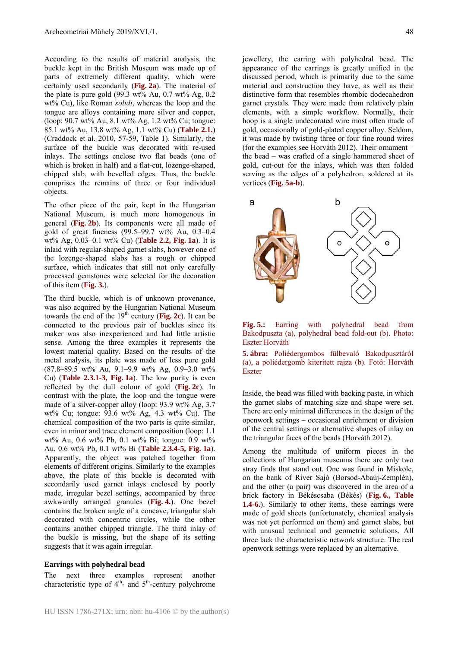According to the results of material analysis, the buckle kept in the British Museum was made up of parts of extremely different quality, which were certainly used secondarily (**Fig. 2a**). The material of the plate is pure gold  $(99.3 \text{ wt\% Au}, 0.7 \text{ wt\% As}, 0.2)$ wt% Cu), like Roman *solidi*, whereas the loop and the tongue are alloys containing more silver and copper, (loop: 90.7 wt% Au, 8.1 wt% Ag, 1.2 wt% Cu; tongue: 85.1 wt% Au, 13.8 wt% Ag, 1.1 wt% Cu) (**Table 2.1.**) (Craddock et al. 2010, 57-59, Table 1). Similarly, the surface of the buckle was decorated with re-used inlays. The settings enclose two flat beads (one of which is broken in half) and a flat-cut, lozenge-shaped, chipped slab, with bevelled edges. Thus, the buckle comprises the remains of three or four individual objects.

The other piece of the pair, kept in the Hungarian National Museum, is much more homogenous in general (**Fig. 2b**). Its components were all made of gold of great fineness (99.5–99.7 wt% Au, 0.3–0.4 wt% Ag, 0.03–0.1 wt% Cu) (**Table 2.2, Fig. 1a**). It is inlaid with regular-shaped garnet slabs, however one of the lozenge-shaped slabs has a rough or chipped surface, which indicates that still not only carefully processed gemstones were selected for the decoration of this item (**Fig. 3.**).

The third buckle, which is of unknown provenance, was also acquired by the Hungarian National Museum towards the end of the  $19<sup>th</sup>$  century (Fig. 2c). It can be connected to the previous pair of buckles since its maker was also inexperienced and had little artistic sense. Among the three examples it represents the lowest material quality. Based on the results of the metal analysis, its plate was made of less pure gold (87.8–89.5 wt% Au, 9.1–9.9 wt% Ag, 0.9–3.0 wt% Cu) (**Table 2.3.1-3, Fig. 1a**). The low purity is even reflected by the dull colour of gold (**Fig. 2c**). In contrast with the plate, the loop and the tongue were made of a silver-copper alloy (loop: 93.9 wt% Ag, 3.7 wt% Cu; tongue: 93.6 wt% Ag, 4.3 wt% Cu). The chemical composition of the two parts is quite similar, even in minor and trace element composition (loop: 1.1 wt% Au, 0.6 wt% Pb, 0.1 wt% Bi; tongue: 0.9 wt% Au, 0.6 wt% Pb, 0.1 wt% Bi (**Table 2.3.4-5, Fig. 1a**). Apparently, the object was patched together from elements of different origins. Similarly to the examples above, the plate of this buckle is decorated with secondarily used garnet inlays enclosed by poorly made, irregular bezel settings, accompanied by three awkwardly arranged granules (**Fig. 4.**). One bezel contains the broken angle of a concave, triangular slab decorated with concentric circles, while the other contains another chipped triangle. The third inlay of the buckle is missing, but the shape of its setting suggests that it was again irregular.

#### **Earrings with polyhedral bead**

The next three examples represent another characteristic type of  $4<sup>th</sup>$ - and  $5<sup>th</sup>$ -century polychrome jewellery, the earring with polyhedral bead. The appearance of the earrings is greatly unified in the discussed period, which is primarily due to the same material and construction they have, as well as their distinctive form that resembles rhombic dodecahedron garnet crystals. They were made from relatively plain elements, with a simple workflow. Normally, their hoop is a single undecorated wire most often made of gold, occasionally of gold-plated copper alloy. Seldom, it was made by twisting three or four fine round wires (for the examples see Horváth 2012). Their ornament – the bead – was crafted of a single hammered sheet of gold, cut-out for the inlays, which was then folded serving as the edges of a polyhedron, soldered at its vertices (**Fig. 5a-b**).





**5. ábra:** Poliédergombos fülbevaló Bakodpusztáról (a), a poliédergomb kiterített rajza (b). Fotó: Horváth Eszter

Inside, the bead was filled with backing paste, in which the garnet slabs of matching size and shape were set. There are only minimal differences in the design of the openwork settings – occasional enrichment or division of the central settings or alternative shapes of inlay on the triangular faces of the beads (Horváth 2012).

Among the multitude of uniform pieces in the collections of Hungarian museums there are only two stray finds that stand out. One was found in Miskolc, on the bank of River Sajó (Borsod-Abaúj-Zemplén), and the other (a pair) was discovered in the area of a brick factory in Békéscsaba (Békés) (**Fig. 6., Table 1.4-6.**). Similarly to other items, these earrings were made of gold sheets (unfortunately, chemical analysis was not yet performed on them) and garnet slabs, but with unusual technical and geometric solutions. All three lack the characteristic network structure. The real openwork settings were replaced by an alternative.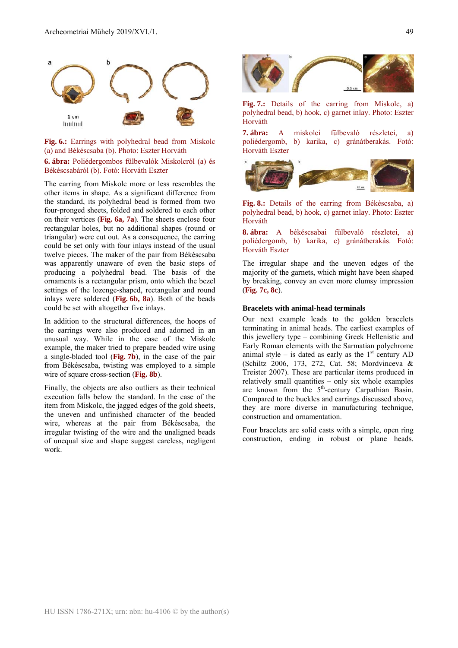

**Fig. 6.:** Earrings with polyhedral bead from Miskolc (a) and Békéscsaba (b). Photo: Eszter Horváth **6. ábra:** Poliédergombos fülbevalók Miskolcról (a) és

Békéscsabáról (b). Fotó: Horváth Eszter

The earring from Miskolc more or less resembles the other items in shape. As a significant difference from the standard, its polyhedral bead is formed from two four-pronged sheets, folded and soldered to each other on their vertices (**Fig. 6a, 7a**). The sheets enclose four rectangular holes, but no additional shapes (round or triangular) were cut out. As a consequence, the earring could be set only with four inlays instead of the usual twelve pieces. The maker of the pair from Békéscsaba was apparently unaware of even the basic steps of producing a polyhedral bead. The basis of the ornaments is a rectangular prism, onto which the bezel settings of the lozenge-shaped, rectangular and round inlays were soldered (**Fig. 6b, 8a**). Both of the beads could be set with altogether five inlays.

In addition to the structural differences, the hoops of the earrings were also produced and adorned in an unusual way. While in the case of the Miskolc example, the maker tried to prepare beaded wire using a single-bladed tool (**Fig. 7b**), in the case of the pair from Békéscsaba, twisting was employed to a simple wire of square cross-section (**Fig. 8b**).

Finally, the objects are also outliers as their technical execution falls below the standard. In the case of the item from Miskolc, the jagged edges of the gold sheets, the uneven and unfinished character of the beaded wire, whereas at the pair from Békéscsaba, the irregular twisting of the wire and the unaligned beads of unequal size and shape suggest careless, negligent work.



**Fig. 7.:** Details of the earring from Miskolc, a) polyhedral bead, b) hook, c) garnet inlay. Photo: Eszter Horváth

**7. ábra:** A miskolci fülbevaló részletei, a) poliédergomb, b) karika, c) gránátberakás. Fotó: Horváth Eszter



**Fig. 8.:** Details of the earring from Békéscsaba, a) polyhedral bead, b) hook, c) garnet inlay. Photo: Eszter Horváth

**8. ábra:** A békéscsabai fülbevaló részletei, a) poliédergomb, b) karika, c) gránátberakás. Fotó: Horváth Eszter

The irregular shape and the uneven edges of the majority of the garnets, which might have been shaped by breaking, convey an even more clumsy impression (**Fig. 7c, 8c**).

#### **Bracelets with animal-head terminals**

Our next example leads to the golden bracelets terminating in animal heads. The earliest examples of this jewellery type – combining Greek Hellenistic and Early Roman elements with the Sarmatian polychrome animal style – is dated as early as the  $1<sup>st</sup>$  century AD (Schiltz 2006, 173, 272, Cat. 58; Mordvinceva & Treister 2007). These are particular items produced in relatively small quantities – only six whole examples are known from the  $5<sup>th</sup>$ -century Carpathian Basin. Compared to the buckles and earrings discussed above, they are more diverse in manufacturing technique, construction and ornamentation.

Four bracelets are solid casts with a simple, open ring construction, ending in robust or plane heads.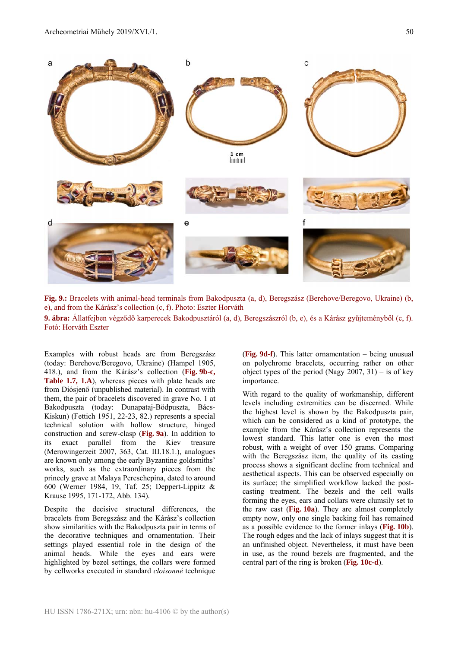

**Fig. 9.:** Bracelets with animal-head terminals from Bakodpuszta (a, d), Beregszász (Berehove/Beregovo, Ukraine) (b, e), and from the Kárász's collection (c, f). Photo: Eszter Horváth

**9. ábra:** Állatfejben végződő karperecek Bakodpusztáról (a, d), Beregszászról (b, e), és a Kárász gyűjteményből (c, f). Fotó: Horváth Eszter

Examples with robust heads are from Beregszász (today: Berehove/Beregovo, Ukraine) (Hampel 1905, 418.), and from the Kárász's collection (**Fig. 9b-c, Table 1.7, 1.A**), whereas pieces with plate heads are from Diósjenő (unpublished material). In contrast with them, the pair of bracelets discovered in grave No. 1 at Bakodpuszta (today: Dunapataj-Bödpuszta, Bács-Kiskun) (Fettich 1951, 22-23, 82.) represents a special technical solution with hollow structure, hinged construction and screw-clasp (**Fig. 9a**). In addition to its exact parallel from the Kiev treasure (Merowingerzeit 2007, 363, Cat. III.18.1.), analogues are known only among the early Byzantine goldsmiths' works, such as the extraordinary pieces from the princely grave at Malaya Pereschepina, dated to around 600 (Werner 1984, 19, Taf. 25; Deppert-Lippitz & Krause 1995, 171-172, Abb. 134).

Despite the decisive structural differences, the bracelets from Beregszász and the Kárász's collection show similarities with the Bakodpuszta pair in terms of the decorative techniques and ornamentation. Their settings played essential role in the design of the animal heads. While the eyes and ears were highlighted by bezel settings, the collars were formed by cellworks executed in standard *cloisonné* technique

(**Fig. 9d-f**). This latter ornamentation – being unusual on polychrome bracelets, occurring rather on other object types of the period (Nagy 2007, 31) – is of key importance.

With regard to the quality of workmanship, different levels including extremities can be discerned. While the highest level is shown by the Bakodpuszta pair, which can be considered as a kind of prototype, the example from the Kárász's collection represents the lowest standard. This latter one is even the most robust, with a weight of over 150 grams. Comparing with the Beregszász item, the quality of its casting process shows a significant decline from technical and aesthetical aspects. This can be observed especially on its surface; the simplified workflow lacked the postcasting treatment. The bezels and the cell walls forming the eyes, ears and collars were clumsily set to the raw cast (**Fig. 10a**). They are almost completely empty now, only one single backing foil has remained as a possible evidence to the former inlays (**Fig. 10b**). The rough edges and the lack of inlays suggest that it is an unfinished object. Nevertheless, it must have been in use, as the round bezels are fragmented, and the central part of the ring is broken (**Fig. 10c-d**).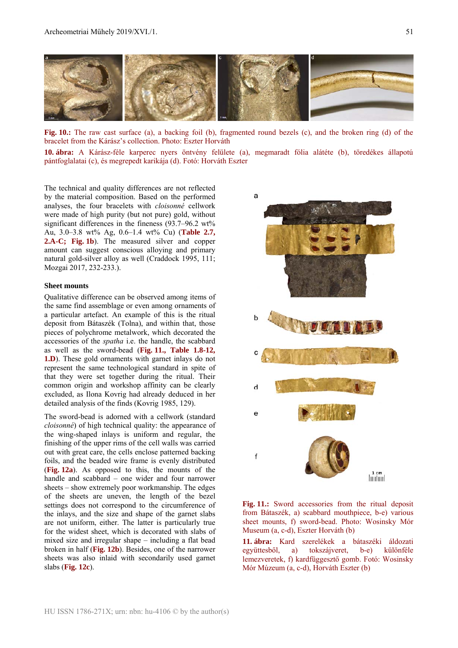

**Fig. 10.:** The raw cast surface (a), a backing foil (b), fragmented round bezels (c), and the broken ring (d) of the bracelet from the Kárász's collection. Photo: Eszter Horváth

**10. ábra:** A Kárász-féle karperec nyers öntvény felülete (a), megmaradt fólia alátéte (b), töredékes állapotú pántfoglalatai (c), és megrepedt karikája (d). Fotó: Horváth Eszter

The technical and quality differences are not reflected by the material composition. Based on the performed analyses, the four bracelets with *cloisonné* cellwork were made of high purity (but not pure) gold, without significant differences in the fineness (93.7–96.2 wt%) Au, 3.0–3.8 wt% Ag, 0.6–1.4 wt% Cu) (**Table 2.7, 2.A-C; Fig. 1b**). The measured silver and copper amount can suggest conscious alloying and primary natural gold-silver alloy as well (Craddock 1995, 111; Mozgai 2017, 232-233.).

#### **Sheet mounts**

Qualitative difference can be observed among items of the same find assemblage or even among ornaments of a particular artefact. An example of this is the ritual deposit from Bátaszék (Tolna), and within that, those pieces of polychrome metalwork, which decorated the accessories of the *spatha* i.e. the handle, the scabbard as well as the sword-bead (**Fig. 11., Table 1.8-12, 1.D**). These gold ornaments with garnet inlays do not represent the same technological standard in spite of that they were set together during the ritual. Their common origin and workshop affinity can be clearly excluded, as Ilona Kovrig had already deduced in her detailed analysis of the finds (Kovrig 1985, 129).

The sword-bead is adorned with a cellwork (standard *cloisonné*) of high technical quality: the appearance of the wing-shaped inlays is uniform and regular, the finishing of the upper rims of the cell walls was carried out with great care, the cells enclose patterned backing foils, and the beaded wire frame is evenly distributed (**Fig. 12a**). As opposed to this, the mounts of the handle and scabbard – one wider and four narrower sheets – show extremely poor workmanship. The edges of the sheets are uneven, the length of the bezel settings does not correspond to the circumference of the inlays, and the size and shape of the garnet slabs are not uniform, either. The latter is particularly true for the widest sheet, which is decorated with slabs of mixed size and irregular shape – including a flat bead broken in half (**Fig. 12b**). Besides, one of the narrower sheets was also inlaid with secondarily used garnet slabs (**Fig. 12c**).



**Fig. 11.:** Sword accessories from the ritual deposit from Bátaszék, a) scabbard mouthpiece, b-e) various sheet mounts, f) sword-bead. Photo: Wosinsky Mór Museum (a, c-d), Eszter Horváth (b)

**11. ábra:** Kard szerelékek a bátaszéki áldozati együttesből, a) tokszájveret, b-e) különféle lemezveretek, f) kardfüggesztő gomb. Fotó: Wosinsky Mór Múzeum (a, c-d), Horváth Eszter (b)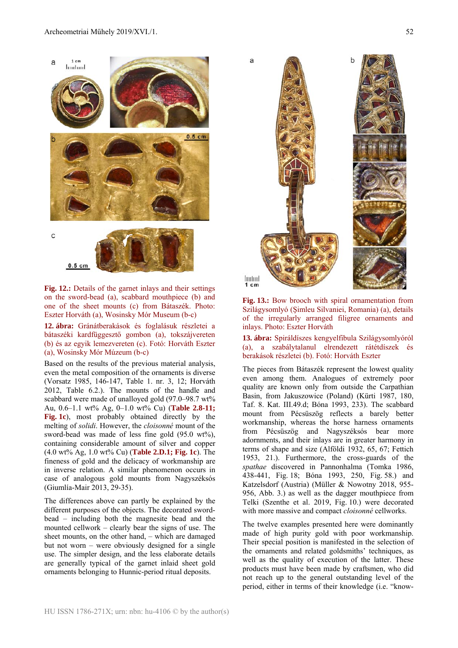

**Fig. 12.:** Details of the garnet inlays and their settings on the sword-bead (a), scabbard mouthpiece (b) and one of the sheet mounts (c) from Bátaszék. Photo: Eszter Horváth (a), Wosinsky Mór Museum (b-c)

**12. ábra:** Gránátberakások és foglalásuk részletei a bátaszéki kardfüggesztő gombon (a), tokszájvereten (b) és az egyik lemezvereten (c). Fotó: Horváth Eszter (a), Wosinsky Mór Múzeum (b-c)

Based on the results of the previous material analysis, even the metal composition of the ornaments is diverse (Vorsatz 1985, 146-147, Table 1. nr. 3, 12; Horváth 2012, Table 6.2.). The mounts of the handle and scabbard were made of unalloyed gold (97.0–98.7 wt% Au, 0.6–1.1 wt% Ag, 0–1.0 wt% Cu) (**Table 2.8-11; Fig. 1c**), most probably obtained directly by the melting of *solidi*. However, the *cloisonné* mount of the sword-bead was made of less fine gold  $(95.0 \text{ wt\%})$ . containing considerable amount of silver and copper (4.0 wt% Ag, 1.0 wt% Cu) (**Table 2.D.1; Fig. 1c**). The fineness of gold and the delicacy of workmanship are in inverse relation. A similar phenomenon occurs in case of analogous gold mounts from Nagyszéksós (Giumlía-Mair 2013, 29-35).

The differences above can partly be explained by the different purposes of the objects. The decorated swordbead – including both the magnesite bead and the mounted cellwork – clearly bear the signs of use. The sheet mounts, on the other hand, – which are damaged but not worn – were obviously designed for a single use. The simpler design, and the less elaborate details are generally typical of the garnet inlaid sheet gold ornaments belonging to Hunnic-period ritual deposits.



**Fig. 13.:** Bow brooch with spiral ornamentation from Szilágysomlyó (Şimleu Silvaniei, Romania) (a), details of the irregularly arranged filigree ornaments and inlays. Photo: Eszter Horváth

**13. ábra:** Spiráldíszes kengyelfibula Szilágysomlyóról (a), a szabálytalanul elrendezett rátétdíszek és berakások részletei (b). Fotó: Horváth Eszter

The pieces from Bátaszék represent the lowest quality even among them. Analogues of extremely poor quality are known only from outside the Carpathian Basin, from Jakuszowice (Poland) (Kürti 1987, 180, Taf. 8. Kat. III.49.d; Bóna 1993, 233). The scabbard mount from Pécsüszög reflects a barely better workmanship, whereas the horse harness ornaments from Pécsüszög and Nagyszéksós bear more adornments, and their inlays are in greater harmony in terms of shape and size (Alföldi 1932, 65, 67; Fettich 1953, 21.). Furthermore, the cross-guards of the *spathae* discovered in Pannonhalma (Tomka 1986, 438-441, Fig. 18; Bóna 1993, 250, Fig. 58.) and Katzelsdorf (Austria) (Müller & Nowotny 2018, 955- 956, Abb. 3.) as well as the dagger mouthpiece from Telki (Szenthe et al. 2019, Fig. 10.) were decorated with more massive and compact *cloisonné* cellworks.

The twelve examples presented here were dominantly made of high purity gold with poor workmanship. Their special position is manifested in the selection of the ornaments and related goldsmiths' techniques, as well as the quality of execution of the latter. These products must have been made by craftsmen, who did not reach up to the general outstanding level of the period, either in terms of their knowledge (i.e. "know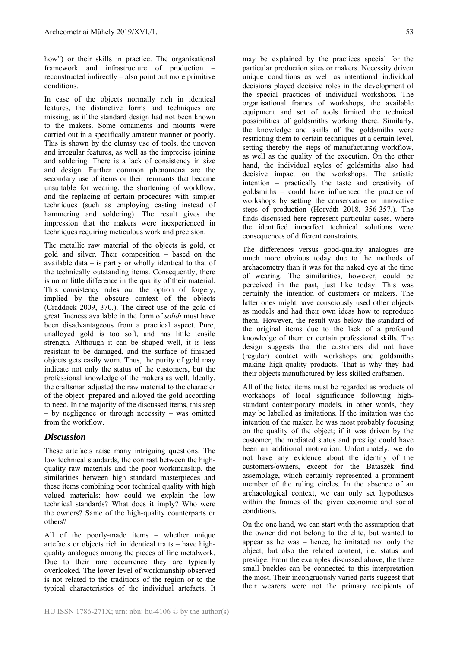how") or their skills in practice. The organisational framework and infrastructure of production – reconstructed indirectly – also point out more primitive conditions.

In case of the objects normally rich in identical features, the distinctive forms and techniques are missing, as if the standard design had not been known to the makers. Some ornaments and mounts were carried out in a specifically amateur manner or poorly. This is shown by the clumsy use of tools, the uneven and irregular features, as well as the imprecise joining and soldering. There is a lack of consistency in size and design. Further common phenomena are the secondary use of items or their remnants that became unsuitable for wearing, the shortening of workflow, and the replacing of certain procedures with simpler techniques (such as employing casting instead of hammering and soldering). The result gives the impression that the makers were inexperienced in techniques requiring meticulous work and precision.

The metallic raw material of the objects is gold, or gold and silver. Their composition – based on the available data – is partly or wholly identical to that of the technically outstanding items. Consequently, there is no or little difference in the quality of their material. This consistency rules out the option of forgery, implied by the obscure context of the objects (Craddock 2009, 370.). The direct use of the gold of great fineness available in the form of *solidi* must have been disadvantageous from a practical aspect. Pure, unalloyed gold is too soft, and has little tensile strength. Although it can be shaped well, it is less resistant to be damaged, and the surface of finished objects gets easily worn. Thus, the purity of gold may indicate not only the status of the customers, but the professional knowledge of the makers as well. Ideally, the craftsman adjusted the raw material to the character of the object: prepared and alloyed the gold according to need. In the majority of the discussed items, this step – by negligence or through necessity – was omitted from the workflow.

# *Discussion*

These artefacts raise many intriguing questions. The low technical standards, the contrast between the highquality raw materials and the poor workmanship, the similarities between high standard masterpieces and these items combining poor technical quality with high valued materials: how could we explain the low technical standards? What does it imply? Who were the owners? Same of the high-quality counterparts or others?

All of the poorly-made items – whether unique artefacts or objects rich in identical traits – have highquality analogues among the pieces of fine metalwork. Due to their rare occurrence they are typically overlooked. The lower level of workmanship observed is not related to the traditions of the region or to the typical characteristics of the individual artefacts. It may be explained by the practices special for the particular production sites or makers. Necessity driven unique conditions as well as intentional individual decisions played decisive roles in the development of the special practices of individual workshops. The organisational frames of workshops, the available equipment and set of tools limited the technical possibilities of goldsmiths working there. Similarly, the knowledge and skills of the goldsmiths were restricting them to certain techniques at a certain level, setting thereby the steps of manufacturing workflow, as well as the quality of the execution. On the other hand, the individual styles of goldsmiths also had decisive impact on the workshops. The artistic intention – practically the taste and creativity of goldsmiths – could have influenced the practice of workshops by setting the conservative or innovative steps of production (Horváth 2018, 356-357.). The finds discussed here represent particular cases, where the identified imperfect technical solutions were consequences of different constraints.

The differences versus good-quality analogues are much more obvious today due to the methods of archaeometry than it was for the naked eye at the time of wearing. The similarities, however, could be perceived in the past, just like today. This was certainly the intention of customers or makers. The latter ones might have consciously used other objects as models and had their own ideas how to reproduce them. However, the result was below the standard of the original items due to the lack of a profound knowledge of them or certain professional skills. The design suggests that the customers did not have (regular) contact with workshops and goldsmiths making high-quality products. That is why they had their objects manufactured by less skilled craftsmen.

All of the listed items must be regarded as products of workshops of local significance following highstandard contemporary models, in other words, they may be labelled as imitations. If the imitation was the intention of the maker, he was most probably focusing on the quality of the object; if it was driven by the customer, the mediated status and prestige could have been an additional motivation. Unfortunately, we do not have any evidence about the identity of the customers/owners, except for the Bátaszék find assemblage, which certainly represented a prominent member of the ruling circles. In the absence of an archaeological context, we can only set hypotheses within the frames of the given economic and social conditions.

On the one hand, we can start with the assumption that the owner did not belong to the elite, but wanted to appear as he was – hence, he imitated not only the object, but also the related content, i.e. status and prestige. From the examples discussed above, the three small buckles can be connected to this interpretation the most. Their incongruously varied parts suggest that their wearers were not the primary recipients of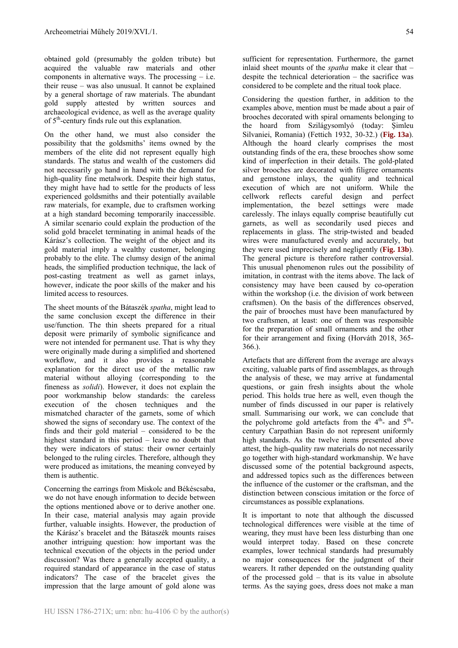obtained gold (presumably the golden tribute) but acquired the valuable raw materials and other components in alternative ways. The processing  $-$  i.e. their reuse – was also unusual. It cannot be explained by a general shortage of raw materials. The abundant gold supply attested by written sources and archaeological evidence, as well as the average quality of  $5<sup>th</sup>$ -century finds rule out this explanation.

On the other hand, we must also consider the possibility that the goldsmiths' items owned by the members of the elite did not represent equally high standards. The status and wealth of the customers did not necessarily go hand in hand with the demand for high-quality fine metalwork. Despite their high status, they might have had to settle for the products of less experienced goldsmiths and their potentially available raw materials, for example, due to craftsmen working at a high standard becoming temporarily inaccessible. A similar scenario could explain the production of the solid gold bracelet terminating in animal heads of the Kárász's collection. The weight of the object and its gold material imply a wealthy customer, belonging probably to the elite. The clumsy design of the animal heads, the simplified production technique, the lack of post-casting treatment as well as garnet inlays, however, indicate the poor skills of the maker and his limited access to resources.

The sheet mounts of the Bátaszék *spatha*, might lead to the same conclusion except the difference in their use/function. The thin sheets prepared for a ritual deposit were primarily of symbolic significance and were not intended for permanent use. That is why they were originally made during a simplified and shortened workflow, and it also provides a reasonable explanation for the direct use of the metallic raw material without alloying (corresponding to the fineness as *solidi*). However, it does not explain the poor workmanship below standards: the careless execution of the chosen techniques and the mismatched character of the garnets, some of which showed the signs of secondary use. The context of the finds and their gold material – considered to be the highest standard in this period – leave no doubt that they were indicators of status: their owner certainly belonged to the ruling circles. Therefore, although they were produced as imitations, the meaning conveyed by them is authentic.

Concerning the earrings from Miskolc and Békéscsaba, we do not have enough information to decide between the options mentioned above or to derive another one. In their case, material analysis may again provide further, valuable insights. However, the production of the Kárász's bracelet and the Bátaszék mounts raises another intriguing question: how important was the technical execution of the objects in the period under discussion? Was there a generally accepted quality, a required standard of appearance in the case of status indicators? The case of the bracelet gives the impression that the large amount of gold alone was sufficient for representation. Furthermore, the garnet inlaid sheet mounts of the *spatha* make it clear that – despite the technical deterioration – the sacrifice was considered to be complete and the ritual took place.

Considering the question further, in addition to the examples above, mention must be made about a pair of brooches decorated with spiral ornaments belonging to the hoard from Szilágysomlyó (today: Şimleu Silvaniei, Romania) (Fettich 1932, 30-32.) (**Fig. 13a**). Although the hoard clearly comprises the most outstanding finds of the era, these brooches show some kind of imperfection in their details. The gold-plated silver brooches are decorated with filigree ornaments and gemstone inlays, the quality and technical execution of which are not uniform. While the cellwork reflects careful design and perfect implementation, the bezel settings were made carelessly. The inlays equally comprise beautifully cut garnets, as well as secondarily used pieces and replacements in glass. The strip-twisted and beaded wires were manufactured evenly and accurately, but they were used imprecisely and negligently (**Fig. 13b**). The general picture is therefore rather controversial. This unusual phenomenon rules out the possibility of imitation, in contrast with the items above. The lack of consistency may have been caused by co-operation within the workshop (i.e. the division of work between craftsmen). On the basis of the differences observed, the pair of brooches must have been manufactured by two craftsmen, at least: one of them was responsible for the preparation of small ornaments and the other for their arrangement and fixing (Horváth 2018, 365- 366.).

Artefacts that are different from the average are always exciting, valuable parts of find assemblages, as through the analysis of these, we may arrive at fundamental questions, or gain fresh insights about the whole period. This holds true here as well, even though the number of finds discussed in our paper is relatively small. Summarising our work, we can conclude that the polychrome gold artefacts from the  $4<sup>th</sup>$ - and  $5<sup>th</sup>$ century Carpathian Basin do not represent uniformly high standards. As the twelve items presented above attest, the high-quality raw materials do not necessarily go together with high-standard workmanship. We have discussed some of the potential background aspects, and addressed topics such as the differences between the influence of the customer or the craftsman, and the distinction between conscious imitation or the force of circumstances as possible explanations.

It is important to note that although the discussed technological differences were visible at the time of wearing, they must have been less disturbing than one would interpret today. Based on these concrete examples, lower technical standards had presumably no major consequences for the judgment of their wearers. It rather depended on the outstanding quality of the processed gold – that is its value in absolute terms. As the saying goes, dress does not make a man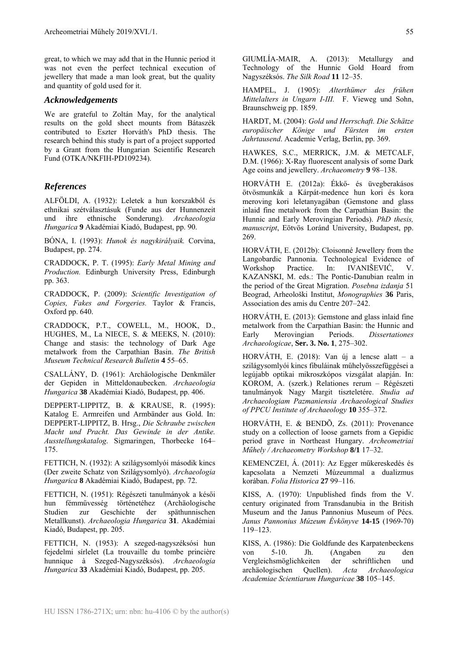great, to which we may add that in the Hunnic period it was not even the perfect technical execution of jewellery that made a man look great, but the quality and quantity of gold used for it.

# *Acknowledgements*

We are grateful to Zoltán May, for the analytical results on the gold sheet mounts from Bátaszék contributed to Eszter Horváth's PhD thesis. The research behind this study is part of a project supported by a Grant from the Hungarian Scientific Research Fund (OTKA/NKFIH-PD109234).

# *References*

ALFÖLDI, A. (1932): Leletek a hun korszakból és ethnikai szétválasztásuk (Funde aus der Hunnenzeit und ihre ethnische Sonderung). *Archaeologia Hungarica* **9** Akadémiai Kiadó, Budapest, pp. 90.

BÓNA, I. (1993): *Hunok és nagykirályaik.* Corvina, Budapest, pp. 274.

CRADDOCK, P. T. (1995): *Early Metal Mining and Production.* Edinburgh University Press, Edinburgh pp. 363.

CRADDOCK, P. (2009): *Scientific Investigation of Copies, Fakes and Forgeries.* Taylor & Francis, Oxford pp. 640.

CRADDOCK, P.T., COWELL, M., HOOK, D., HUGHES, M., La NIECE, S. & MEEKS, N. (2010): Change and stasis: the technology of Dark Age metalwork from the Carpathian Basin. *The British Museum Technical Research Bulletin* **4** 55–65.

CSALLÁNY, D. (1961): Archäologische Denkmäler der Gepiden in Mitteldonaubecken. *Archaeologia Hungarica* **38** Akadémiai Kiadó, Budapest, pp. 406.

DEPPERT-LIPPITZ, B. & KRAUSE, R. (1995): Katalog E. Armreifen und Armbänder aus Gold. In: DEPPERT-LIPPITZ, B. Hrsg., *Die Schraube zwischen Macht und Pracht. Das Gewinde in der Antike. Ausstellungskatalog*. Sigmaringen, Thorbecke 164– 175.

FETTICH, N. (1932): A szilágysomlyói második kincs (Der zweite Schatz von Szilágysomlyó). *Archaeologia Hungarica* **8** Akadémiai Kiadó, Budapest, pp. 72.

FETTICH, N. (1951): Régészeti tanulmányok a késői hun fémművesség történetéhez (Archäologische Studien zur Geschichte der späthunnischen Metallkunst). *Archaeologia Hungarica* **31**. Akadémiai Kiadó, Budapest, pp. 205.

FETTICH, N. (1953): A szeged-nagyszéksósi hun fejedelmi sírlelet (La trouvaille du tombe princière hunnique à Szeged-Nagyszéksós). *Archaeologia Hungarica* **33** Akadémiai Kiadó, Budapest, pp. 205.

GIUMLÍA-MAIR, A. (2013): Metallurgy and Technology of the Hunnic Gold Hoard from Nagyszéksós. *The Silk Road* **11** 12–35.

HAMPEL, J. (1905): *Alterthümer des frühen Mittelalters in Ungarn I-III.* F. Vieweg und Sohn, Braunschweig pp. 1859.

HARDT, M. (2004): *Gold und Herrschaft. Die Schätze europäischer Könige und Fürsten im ersten Jahrtausend*. Academie Verlag, Berlin, pp. 369.

HAWKES, S.C., MERRICK, J.M. & METCALF, D.M. (1966): X-Ray fluorescent analysis of some Dark Age coins and jewellery. *Archaeometry* **9** 98–138.

HORVÁTH E. (2012a): Ékkő- és üvegberakásos ötvösmunkák a Kárpát-medence hun kori és kora meroving kori leletanyagában (Gemstone and glass inlaid fine metalwork from the Carpathian Basin: the Hunnic and Early Merovingian Periods). *PhD thesis, manuscript*, Eötvös Loránd University, Budapest, pp. 269.

HORVÁTH, E. (2012b): Cloisonné Jewellery from the Langobardic Pannonia. Technological Evidence of Workshop Practice. In: IVANIŠEVIĆ, V. KAZANSKI, M. eds.: The Pontic-Danubian realm in the period of the Great Migration. *Posebna izdanja* 51 Beograd, Arheološki Institut, *Monographies* **36** Paris, Association des amis du Centre 207–242.

HORVÁTH, E. (2013): Gemstone and glass inlaid fine metalwork from the Carpathian Basin: the Hunnic and Early Merovingian Periods. *Dissertationes Archaeologicae*, **Ser. 3. No. 1**, 275–302.

HORVÁTH, E. (2018): Van új a lencse alatt – a szilágysomlyói kincs fibuláinak műhelyösszefüggései a legújabb optikai mikroszkópos vizsgálat alapján. In: KOROM, A. (szerk.) Relationes rerum – Régészeti tanulmányok Nagy Margit tiszteletére. *Studia ad Archaeologiam Pazmaniensia Archaeological Studies of PPCU Institute of Archaeology* **10** 355–372.

HORVÁTH, E. & BENDÕ, Zs. (2011): Provenance study on a collection of loose garnets from a Gepidic period grave in Northeast Hungary. *Archeometriai Műhely / Archaeometry Workshop* **8/1** 17–32.

KEMENCZEI, Á. (2011): Az Egger műkereskedés és kapcsolata a Nemzeti Múzeummal a dualizmus korában. *Folia Historica* **27** 99–116.

KISS, A. (1970): Unpublished finds from the V. century originated from Transdanubia in the British Museum and the Janus Pannonius Museum of Pécs. *Janus Pannonius Múzeum Évkönyve* **14-15** (1969-70) 119–123.

KISS, A. (1986): Die Goldfunde des Karpatenbeckens von 5-10. Jh. (Angaben zu den Vergleichsmöglichkeiten der schriftlichen und archäologischen Quellen). *Acta Archaeologica Academiae Scientiarum Hungaricae* **38** 105–145.